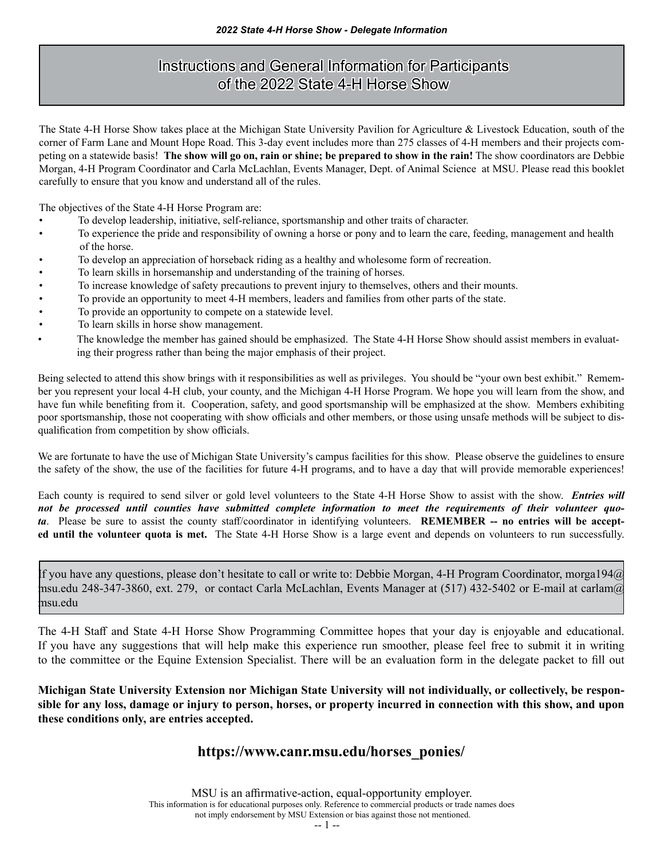# Instructions and General Information for Participants of the 2022 State 4-H Horse Show

The State 4-H Horse Show takes place at the Michigan State University Pavilion for Agriculture & Livestock Education, south of the corner of Farm Lane and Mount Hope Road. This 3-day event includes more than 275 classes of 4-H members and their projects competing on a statewide basis! **The show will go on, rain or shine; be prepared to show in the rain!** The show coordinators are Debbie Morgan, 4-H Program Coordinator and Carla McLachlan, Events Manager, Dept. of Animal Science at MSU. Please read this booklet carefully to ensure that you know and understand all of the rules.

The objectives of the State 4-H Horse Program are:

- To develop leadership, initiative, self-reliance, sportsmanship and other traits of character.
- To experience the pride and responsibility of owning a horse or pony and to learn the care, feeding, management and health of the horse.
- To develop an appreciation of horseback riding as a healthy and wholesome form of recreation.
- To learn skills in horsemanship and understanding of the training of horses.
- To increase knowledge of safety precautions to prevent injury to themselves, others and their mounts.
- To provide an opportunity to meet 4-H members, leaders and families from other parts of the state.
- To provide an opportunity to compete on a statewide level.
- To learn skills in horse show management.
- The knowledge the member has gained should be emphasized. The State 4-H Horse Show should assist members in evaluating their progress rather than being the major emphasis of their project.

Being selected to attend this show brings with it responsibilities as well as privileges. You should be "your own best exhibit." Remember you represent your local 4-H club, your county, and the Michigan 4-H Horse Program. We hope you will learn from the show, and have fun while benefiting from it. Cooperation, safety, and good sportsmanship will be emphasized at the show. Members exhibiting poor sportsmanship, those not cooperating with show officials and other members, or those using unsafe methods will be subject to disqualification from competition by show officials.

We are fortunate to have the use of Michigan State University's campus facilities for this show. Please observe the guidelines to ensure the safety of the show, the use of the facilities for future 4-H programs, and to have a day that will provide memorable experiences!

Each county is required to send silver or gold level volunteers to the State 4-H Horse Show to assist with the show. *Entries will not be processed until counties have submitted complete information to meet the requirements of their volunteer quota*. Please be sure to assist the county staff/coordinator in identifying volunteers. **REMEMBER -- no entries will be accepted until the volunteer quota is met.** The State 4-H Horse Show is a large event and depends on volunteers to run successfully.

If you have any questions, please don't hesitate to call or write to: Debbie Morgan, 4-H Program Coordinator, morga194@ msu.edu 248-347-3860, ext. 279, or contact Carla McLachlan, Events Manager at (517) 432-5402 or E-mail at carlam $\omega$ msu.edu

The 4-H Staff and State 4-H Horse Show Programming Committee hopes that your day is enjoyable and educational. If you have any suggestions that will help make this experience run smoother, please feel free to submit it in writing to the committee or the Equine Extension Specialist. There will be an evaluation form in the delegate packet to fill out

**Michigan State University Extension nor Michigan State University will not individually, or collectively, be responsible for any loss, damage or injury to person, horses, or property incurred in connection with this show, and upon these conditions only, are entries accepted.**

## **https://www.canr.msu.edu/horses\_ponies/**

MSU is an affirmative-action, equal-opportunity employer. This information is for educational purposes only. Reference to commercial products or trade names does not imply endorsement by MSU Extension or bias against those not mentioned.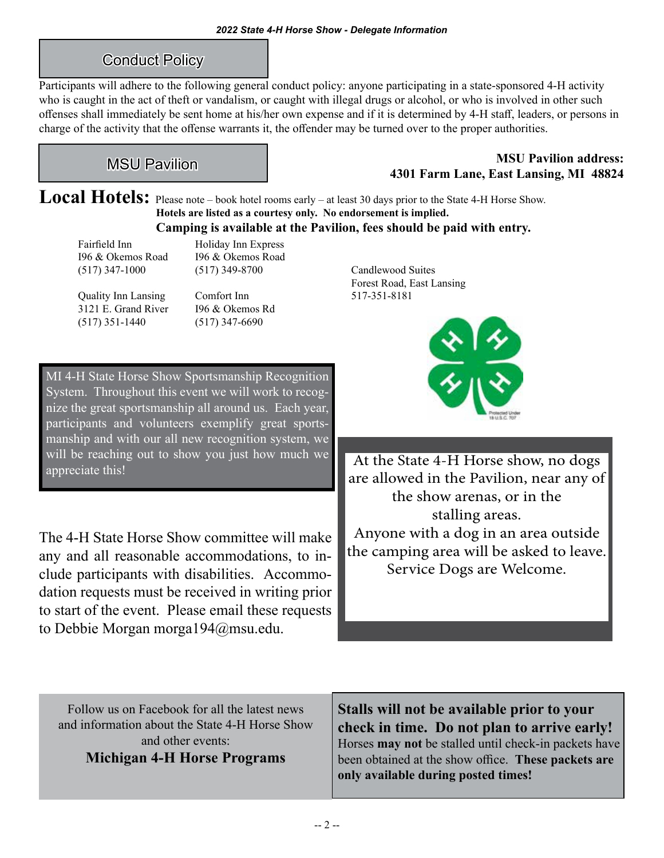# Conduct Policy

Participants will adhere to the following general conduct policy: anyone participating in a state-sponsored 4-H activity who is caught in the act of theft or vandalism, or caught with illegal drugs or alcohol, or who is involved in other such offenses shall immediately be sent home at his/her own expense and if it is determined by 4-H staff, leaders, or persons in charge of the activity that the offense warrants it, the offender may be turned over to the proper authorities.

# MSU Pavilion

## **MSU Pavilion address: 4301 Farm Lane, East Lansing, MI 48824**

Local Hotels: Please note – book hotel rooms early – at least 30 days prior to the State 4-H Horse Show. **Hotels are listed as a courtesy only. No endorsement is implied. Camping is available at the Pavilion, fees should be paid with entry.**

Fairfield Inn Holiday Inn Express I96 & Okemos Road I96 & Okemos Road

Quality Inn Lansing Comfort Inn 517-351-8181 3121 E. Grand River I96 & Okemos Rd (517) 351-1440 (517) 347-6690

(517) 347-1000 (517) 349-8700 Candlewood Suites

Forest Road, East Lansing

MI 4-H State Horse Show Sportsmanship Recognition System. Throughout this event we will work to recognize the great sportsmanship all around us. Each year, participants and volunteers exemplify great sportsmanship and with our all new recognition system, we will be reaching out to show you just how much we appreciate this!

The 4-H State Horse Show committee will make any and all reasonable accommodations, to include participants with disabilities. Accommodation requests must be received in writing prior to start of the event. Please email these requests to Debbie Morgan morga194@msu.edu.



At the State 4-H Horse show, no dogs are allowed in the Pavilion, near any of the show arenas, or in the stalling areas. Anyone with a dog in an area outside the camping area will be asked to leave. Service Dogs are Welcome.

Follow us on Facebook for all the latest news and information about the State 4-H Horse Show and other events: **Michigan 4-H Horse Programs**

**Stalls will not be available prior to your check in time. Do not plan to arrive early!**  Horses **may not** be stalled until check-in packets have been obtained at the show office. **These packets are only available during posted times!**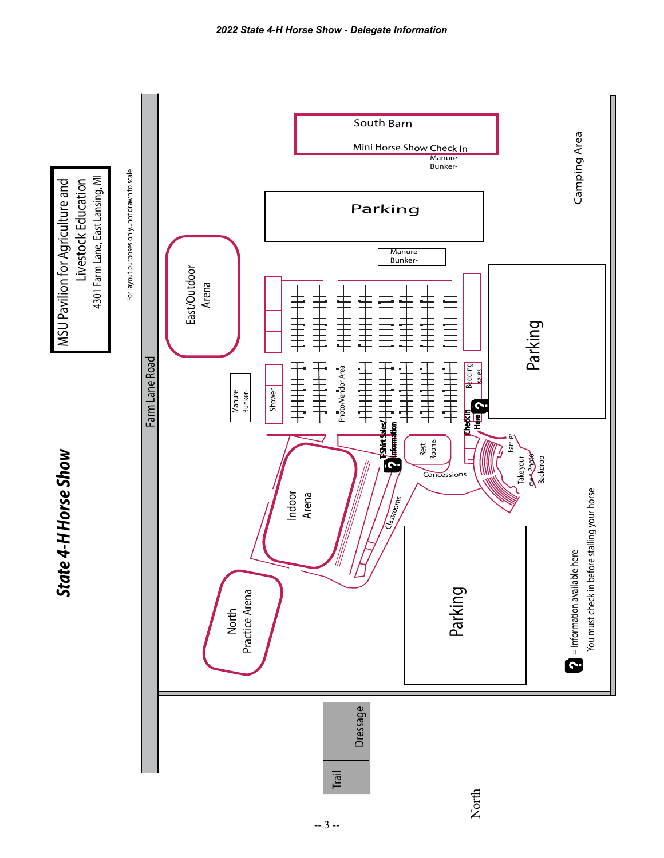

4301 Farm Lane, East Lansing, MI MSU Pavilion for Agriculture and Livestock Education 4301 Farm Lane, East Lansing, MI MSU Pavilion for Agriculture and Livestock Education

*State 4-H Horse Show*

State 4-H Horse Show

*2022 State 4-H Horse Show - Delegate Information*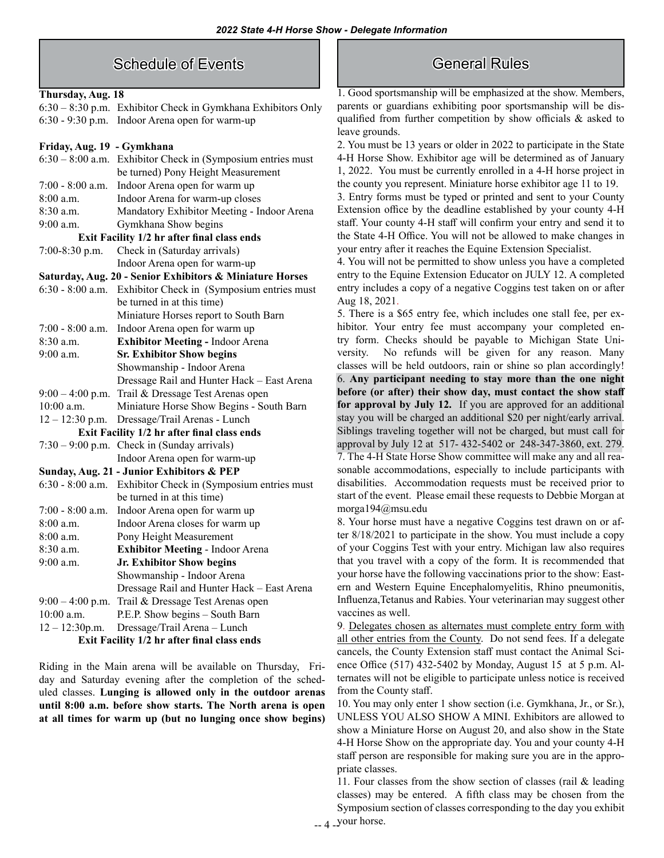## Schedule of Events

#### **Thursday, Aug. 18**

6:30 – 8:30 p.m. Exhibitor Check in Gymkhana Exhibitors Only 6:30 - 9:30 p.m. Indoor Arena open for warm-up

#### **Friday, Aug. 19 - Gymkhana**

| $6:30 - 8:00$ a.m.                                       | Exhibitor Check in (Symposium entries must |
|----------------------------------------------------------|--------------------------------------------|
|                                                          | be turned) Pony Height Measurement         |
| $7:00 - 8:00$ a.m.                                       | Indoor Arena open for warm up              |
| $8:00$ a.m.                                              | Indoor Arena for warm-up closes            |
| $8:30$ a.m.                                              | Mandatory Exhibitor Meeting - Indoor Arena |
| 9:00 a.m.                                                | Gymkhana Show begins                       |
| Exit Facility 1/2 hr after final class ends              |                                            |
| 7:00-8:30 p.m.                                           | Check in (Saturday arrivals)               |
|                                                          | Indoor Arena open for warm-up              |
| Saturday, Aug. 20 - Senior Exhibitors & Miniature Horses |                                            |
| $6:30 - 8:00$ a.m.                                       | Exhibitor Check in (Symposium entries must |
|                                                          | be turned in at this time)                 |
|                                                          | Miniature Horses report to South Barn      |
| $7:00 - 8:00$ a.m.                                       | Indoor Arena open for warm up              |
| 8:30 a.m.                                                | <b>Exhibitor Meeting - Indoor Arena</b>    |
| $9:00$ a.m.                                              | <b>Sr. Exhibitor Show begins</b>           |
|                                                          | Showmanship - Indoor Arena                 |
|                                                          | Dressage Rail and Hunter Hack - East Arena |
| $9:00-4:00$ p.m.                                         | Trail & Dressage Test Arenas open          |
| $10:00$ a.m.                                             | Miniature Horse Show Begins - South Barn   |
| $12 - 12:30$ p.m.                                        | Dressage/Trail Arenas - Lunch              |
| Exit Facility 1/2 hr after final class ends              |                                            |
| $7:30 - 9:00$ p.m.                                       | Check in (Sunday arrivals)                 |
|                                                          | Indoor Arena open for warm-up              |
| Sunday, Aug. 21 - Junior Exhibitors & PEP                |                                            |
| $6:30 - 8:00$ a.m.                                       | Exhibitor Check in (Symposium entries must |
|                                                          | be turned in at this time)                 |
| 7:00 - 8:00 a.m.                                         | Indoor Arena open for warm up              |
| $8:00$ a.m.                                              | Indoor Arena closes for warm up            |
| $8:00$ a.m.                                              | Pony Height Measurement                    |
| $8:30$ a.m.                                              | <b>Exhibitor Meeting - Indoor Arena</b>    |
| $9:00$ a.m.                                              | Jr. Exhibitor Show begins                  |
|                                                          | Showmanship - Indoor Arena                 |
|                                                          | Dressage Rail and Hunter Hack - East Arena |
| $9:00 - 4:00$ p.m.                                       | Trail & Dressage Test Arenas open          |
| $10:00$ a.m.                                             | P.E.P. Show begins - South Barn            |
| $12 - 12:30$ p.m.                                        | Dressage/Trail Arena - Lunch               |
| Exit Facility 1/2 hr after final class ends              |                                            |

Riding in the Main arena will be available on Thursday, Friday and Saturday evening after the completion of the scheduled classes. **Lunging is allowed only in the outdoor arenas until 8:00 a.m. before show starts. The North arena is open at all times for warm up (but no lunging once show begins)**

## General Rules

1. Good sportsmanship will be emphasized at the show. Members, parents or guardians exhibiting poor sportsmanship will be disqualified from further competition by show officials & asked to leave grounds.

2. You must be 13 years or older in 2022 to participate in the State 4-H Horse Show. Exhibitor age will be determined as of January 1, 2022. You must be currently enrolled in a 4-H horse project in the county you represent. Miniature horse exhibitor age 11 to 19.

3. Entry forms must be typed or printed and sent to your County Extension office by the deadline established by your county 4-H staff. Your county 4-H staff will confirm your entry and send it to the State 4-H Office. You will not be allowed to make changes in your entry after it reaches the Equine Extension Specialist.

4. You will not be permitted to show unless you have a completed entry to the Equine Extension Educator on JULY 12. A completed entry includes a copy of a negative Coggins test taken on or after Aug 18, 2021.

5. There is a \$65 entry fee, which includes one stall fee, per exhibitor. Your entry fee must accompany your completed entry form. Checks should be payable to Michigan State University. No refunds will be given for any reason. Many classes will be held outdoors, rain or shine so plan accordingly! 6. **Any participant needing to stay more than the one night before (or after) their show day, must contact the show staff for approval by July 12.** If you are approved for an additional stay you will be charged an additional \$20 per night/early arrival. Siblings traveling together will not be charged, but must call for approval by July 12 at 517- 432-5402 or 248-347-3860, ext. 279. 7. The 4-H State Horse Show committee will make any and all reasonable accommodations, especially to include participants with disabilities. Accommodation requests must be received prior to start of the event. Please email these requests to Debbie Morgan at morga194@msu.edu

8. Your horse must have a negative Coggins test drawn on or after 8/18/2021 to participate in the show. You must include a copy of your Coggins Test with your entry. Michigan law also requires that you travel with a copy of the form. It is recommended that your horse have the following vaccinations prior to the show: Eastern and Western Equine Encephalomyelitis, Rhino pneumonitis, Influenza,Tetanus and Rabies. Your veterinarian may suggest other vaccines as well.

9. Delegates chosen as alternates must complete entry form with all other entries from the County. Do not send fees. If a delegate cancels, the County Extension staff must contact the Animal Science Office (517) 432-5402 by Monday, August 15 at 5 p.m. Alternates will not be eligible to participate unless notice is received from the County staff.

10. You may only enter 1 show section (i.e. Gymkhana, Jr., or Sr.), UNLESS YOU ALSO SHOW A MINI. Exhibitors are allowed to show a Miniature Horse on August 20, and also show in the State 4-H Horse Show on the appropriate day. You and your county 4-H staff person are responsible for making sure you are in the appropriate classes.

11. Four classes from the show section of classes (rail & leading classes) may be entered. A fifth class may be chosen from the Symposium section of classes corresponding to the day you exhibit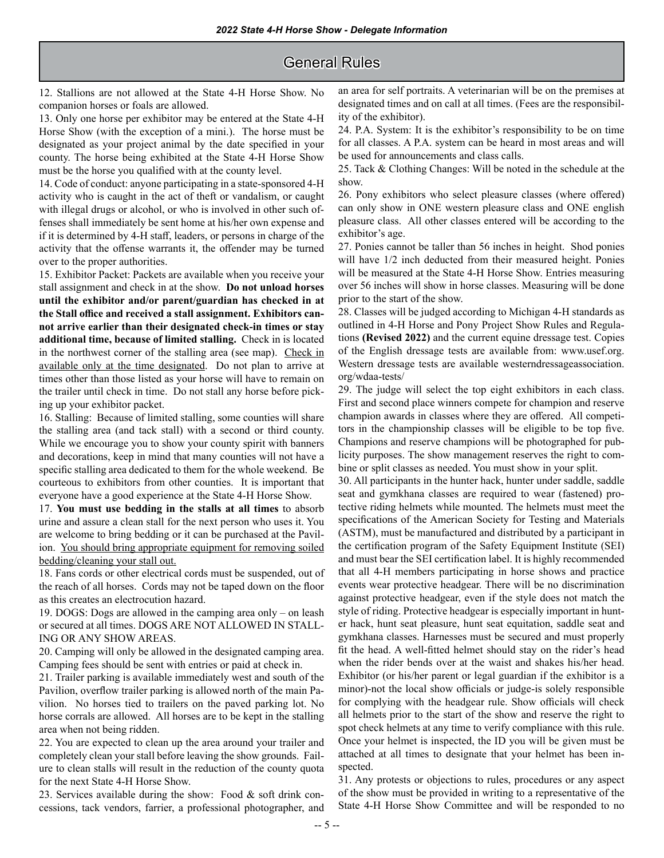## General Rules

12. Stallions are not allowed at the State 4-H Horse Show. No companion horses or foals are allowed.

13. Only one horse per exhibitor may be entered at the State 4-H Horse Show (with the exception of a mini.). The horse must be designated as your project animal by the date specified in your county. The horse being exhibited at the State 4-H Horse Show must be the horse you qualified with at the county level.

14. Code of conduct: anyone participating in a state-sponsored 4-H activity who is caught in the act of theft or vandalism, or caught with illegal drugs or alcohol, or who is involved in other such offenses shall immediately be sent home at his/her own expense and if it is determined by 4-H staff, leaders, or persons in charge of the activity that the offense warrants it, the offender may be turned over to the proper authorities.

15. Exhibitor Packet: Packets are available when you receive your stall assignment and check in at the show. **Do not unload horses until the exhibitor and/or parent/guardian has checked in at the Stall office and received a stall assignment. Exhibitors cannot arrive earlier than their designated check-in times or stay additional time, because of limited stalling.** Check in is located in the northwest corner of the stalling area (see map). Check in available only at the time designated. Do not plan to arrive at times other than those listed as your horse will have to remain on the trailer until check in time. Do not stall any horse before picking up your exhibitor packet.

16. Stalling: Because of limited stalling, some counties will share the stalling area (and tack stall) with a second or third county. While we encourage you to show your county spirit with banners and decorations, keep in mind that many counties will not have a specific stalling area dedicated to them for the whole weekend. Be courteous to exhibitors from other counties. It is important that everyone have a good experience at the State 4-H Horse Show.

17. **You must use bedding in the stalls at all times** to absorb urine and assure a clean stall for the next person who uses it. You are welcome to bring bedding or it can be purchased at the Pavilion. You should bring appropriate equipment for removing soiled bedding/cleaning your stall out.

18. Fans cords or other electrical cords must be suspended, out of the reach of all horses. Cords may not be taped down on the floor as this creates an electrocution hazard.

19. DOGS: Dogs are allowed in the camping area only – on leash or secured at all times. DOGS ARE NOT ALLOWED IN STALL-ING OR ANY SHOW AREAS.

20. Camping will only be allowed in the designated camping area. Camping fees should be sent with entries or paid at check in.

21. Trailer parking is available immediately west and south of the Pavilion, overflow trailer parking is allowed north of the main Pavilion. No horses tied to trailers on the paved parking lot. No horse corrals are allowed. All horses are to be kept in the stalling area when not being ridden.

22. You are expected to clean up the area around your trailer and completely clean your stall before leaving the show grounds. Failure to clean stalls will result in the reduction of the county quota for the next State 4-H Horse Show.

23. Services available during the show: Food & soft drink concessions, tack vendors, farrier, a professional photographer, and an area for self portraits. A veterinarian will be on the premises at designated times and on call at all times. (Fees are the responsibility of the exhibitor).

24. P.A. System: It is the exhibitor's responsibility to be on time for all classes. A P.A. system can be heard in most areas and will be used for announcements and class calls.

25. Tack & Clothing Changes: Will be noted in the schedule at the show.

26. Pony exhibitors who select pleasure classes (where offered) can only show in ONE western pleasure class and ONE english pleasure class. All other classes entered will be according to the exhibitor's age.

27. Ponies cannot be taller than 56 inches in height. Shod ponies will have 1/2 inch deducted from their measured height. Ponies will be measured at the State 4-H Horse Show. Entries measuring over 56 inches will show in horse classes. Measuring will be done prior to the start of the show.

28. Classes will be judged according to Michigan 4-H standards as outlined in 4-H Horse and Pony Project Show Rules and Regulations **(Revised 2022)** and the current equine dressage test. Copies of the English dressage tests are available from: www.usef.org. Western dressage tests are available westerndressageassociation. org/wdaa-tests/

29. The judge will select the top eight exhibitors in each class. First and second place winners compete for champion and reserve champion awards in classes where they are offered. All competitors in the championship classes will be eligible to be top five. Champions and reserve champions will be photographed for publicity purposes. The show management reserves the right to combine or split classes as needed. You must show in your split.

30. All participants in the hunter hack, hunter under saddle, saddle seat and gymkhana classes are required to wear (fastened) protective riding helmets while mounted. The helmets must meet the specifications of the American Society for Testing and Materials (ASTM), must be manufactured and distributed by a participant in the certification program of the Safety Equipment Institute (SEI) and must bear the SEI certification label. It is highly recommended that all 4-H members participating in horse shows and practice events wear protective headgear. There will be no discrimination against protective headgear, even if the style does not match the style of riding. Protective headgear is especially important in hunter hack, hunt seat pleasure, hunt seat equitation, saddle seat and gymkhana classes. Harnesses must be secured and must properly fit the head. A well-fitted helmet should stay on the rider's head when the rider bends over at the waist and shakes his/her head. Exhibitor (or his/her parent or legal guardian if the exhibitor is a minor)-not the local show officials or judge-is solely responsible for complying with the headgear rule. Show officials will check all helmets prior to the start of the show and reserve the right to spot check helmets at any time to verify compliance with this rule. Once your helmet is inspected, the ID you will be given must be attached at all times to designate that your helmet has been inspected.

31. Any protests or objections to rules, procedures or any aspect of the show must be provided in writing to a representative of the State 4-H Horse Show Committee and will be responded to no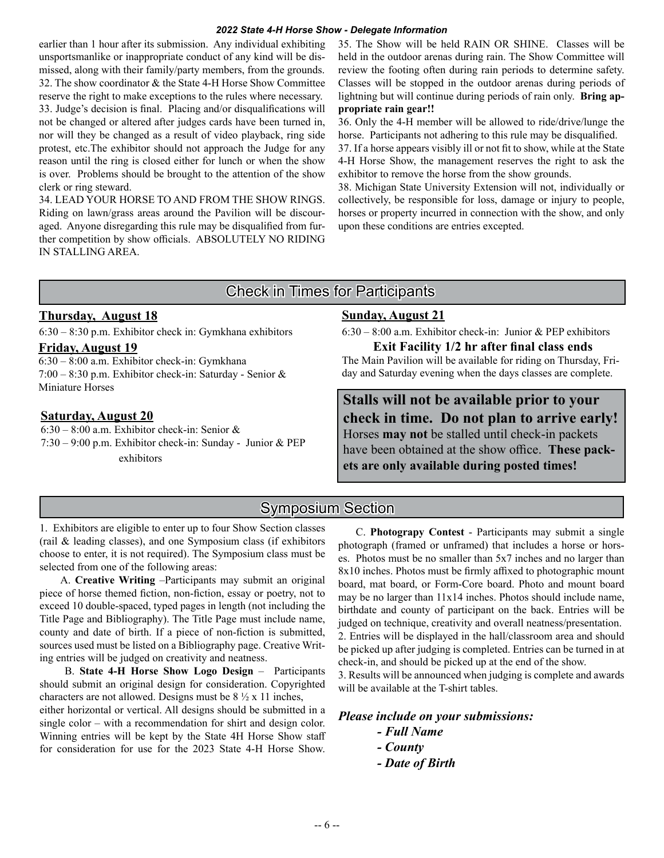#### *2022 State 4-H Horse Show - Delegate Information*

earlier than 1 hour after its submission. Any individual exhibiting unsportsmanlike or inappropriate conduct of any kind will be dismissed, along with their family/party members, from the grounds. 32. The show coordinator & the State 4-H Horse Show Committee reserve the right to make exceptions to the rules where necessary. 33. Judge's decision is final. Placing and/or disqualifications will not be changed or altered after judges cards have been turned in, nor will they be changed as a result of video playback, ring side protest, etc.The exhibitor should not approach the Judge for any reason until the ring is closed either for lunch or when the show is over. Problems should be brought to the attention of the show clerk or ring steward.

34. LEAD YOUR HORSE TO AND FROM THE SHOW RINGS. Riding on lawn/grass areas around the Pavilion will be discouraged. Anyone disregarding this rule may be disqualified from further competition by show officials. ABSOLUTELY NO RIDING IN STALLING AREA.

35. The Show will be held RAIN OR SHINE. Classes will be held in the outdoor arenas during rain. The Show Committee will review the footing often during rain periods to determine safety. Classes will be stopped in the outdoor arenas during periods of lightning but will continue during periods of rain only. **Bring appropriate rain gear!!** 

36. Only the 4-H member will be allowed to ride/drive/lunge the horse. Participants not adhering to this rule may be disqualified.

37. If a horse appears visibly ill or not fit to show, while at the State 4-H Horse Show, the management reserves the right to ask the exhibitor to remove the horse from the show grounds.

38. Michigan State University Extension will not, individually or collectively, be responsible for loss, damage or injury to people, horses or property incurred in connection with the show, and only upon these conditions are entries excepted.

# Check in Times for Participants

### **Thursday, August 18**

6:30 – 8:30 p.m. Exhibitor check in: Gymkhana exhibitors

### **Friday, August 19**

6:30 – 8:00 a.m. Exhibitor check-in: Gymkhana 7:00 – 8:30 p.m. Exhibitor check-in: Saturday - Senior & Miniature Horses

#### **Saturday, August 20**

6:30 – 8:00 a.m. Exhibitor check-in: Senior & 7:30 – 9:00 p.m. Exhibitor check-in: Sunday - Junior & PEP exhibitors

#### **Sunday, August 21**

6:30 – 8:00 a.m. Exhibitor check-in: Junior & PEP exhibitors

**Exit Facility 1/2 hr after final class ends** The Main Pavilion will be available for riding on Thursday, Friday and Saturday evening when the days classes are complete.

**Stalls will not be available prior to your check in time. Do not plan to arrive early!**  Horses **may not** be stalled until check-in packets have been obtained at the show office. **These packets are only available during posted times!**

# Symposium Section

1. Exhibitors are eligible to enter up to four Show Section classes (rail & leading classes), and one Symposium class (if exhibitors choose to enter, it is not required). The Symposium class must be selected from one of the following areas:

 A. **Creative Writing** –Participants may submit an original piece of horse themed fiction, non-fiction, essay or poetry, not to exceed 10 double-spaced, typed pages in length (not including the Title Page and Bibliography). The Title Page must include name, county and date of birth. If a piece of non-fiction is submitted, sources used must be listed on a Bibliography page. Creative Writing entries will be judged on creativity and neatness.

 B. **State 4-H Horse Show Logo Design** – Participants should submit an original design for consideration. Copyrighted characters are not allowed. Designs must be  $8\frac{1}{2}$  x 11 inches,

either horizontal or vertical. All designs should be submitted in a single color – with a recommendation for shirt and design color. Winning entries will be kept by the State 4H Horse Show staff for consideration for use for the 2023 State 4-H Horse Show.

 C. **Photograpy Contest** - Participants may submit a single photograph (framed or unframed) that includes a horse or horses. Photos must be no smaller than 5x7 inches and no larger than 8x10 inches. Photos must be firmly affixed to photographic mount board, mat board, or Form-Core board. Photo and mount board may be no larger than 11x14 inches. Photos should include name, birthdate and county of participant on the back. Entries will be judged on technique, creativity and overall neatness/presentation. 2. Entries will be displayed in the hall/classroom area and should be picked up after judging is completed. Entries can be turned in at check-in, and should be picked up at the end of the show.

3. Results will be announced when judging is complete and awards will be available at the T-shirt tables.

*Please include on your submissions:*

- *Full Name*
- *County*
- *Date of Birth*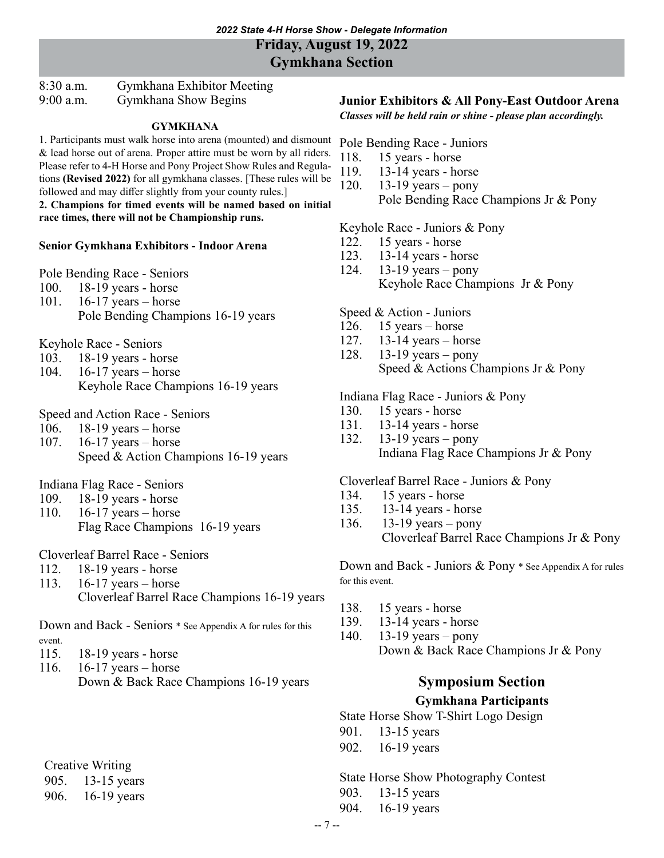8:30 a.m. Gymkhana Exhibitor Meeting 9:00 a.m. Gymkhana Show Begins

#### **GYMKHANA**

1. Participants must walk horse into arena (mounted) and dismount & lead horse out of arena. Proper attire must be worn by all riders. Please refer to 4-H Horse and Pony Project Show Rules and Regulations **(Revised 2022)** for all gymkhana classes. [These rules will be followed and may differ slightly from your county rules.]

**2. Champions for timed events will be named based on initial race times, there will not be Championship runs.**

#### **Senior Gymkhana Exhibitors - Indoor Arena**

Pole Bending Race - Seniors

- 100. 18-19 years horse
- 101. 16-17 years horse
- Pole Bending Champions 16-19 years

Keyhole Race - Seniors

- 103. 18-19 years horse
- 104. 16-17 years horse
	- Keyhole Race Champions 16-19 years

Speed and Action Race - Seniors

- 106. 18-19 years horse
- 107. 16-17 years horse
	- Speed & Action Champions 16-19 years

Indiana Flag Race - Seniors

- 109. 18-19 years horse
- 110. 16-17 years horse
	- Flag Race Champions 16-19 years

Cloverleaf Barrel Race - Seniors

- 112. 18-19 years horse
- 113. 16-17 years horse

Cloverleaf Barrel Race Champions 16-19 years

Down and Back - Seniors \* See Appendix A for rules for this event.

- 115. 18-19 years horse
- 116. 16-17 years horse Down & Back Race Champions 16-19 years

Creative Writing

905. 13-15 years

906. 16-19 years

## **Junior Exhibitors & All Pony-East Outdoor Arena**

*Classes will be held rain or shine - please plan accordingly.*

Pole Bending Race - Juniors

- 118. 15 years horse
- 119. 13-14 years horse
- 120. 13-19 years pony

Pole Bending Race Champions Jr & Pony

Keyhole Race - Juniors & Pony

- 122. 15 years horse
- 123. 13-14 years horse
- 124. 13-19 years pony Keyhole Race Champions Jr & Pony

Speed & Action - Juniors

- 126. 15 years horse
- 127. 13-14 years horse
- 128. 13-19 years pony Speed & Actions Champions Jr & Pony

Indiana Flag Race - Juniors & Pony

- 130. 15 years horse
- 131. 13-14 years horse
- 132. 13-19 years pony Indiana Flag Race Champions Jr & Pony

Cloverleaf Barrel Race - Juniors & Pony

- 134. 15 years horse
- 135. 13-14 years horse
- 136. 13-19 years pony Cloverleaf Barrel Race Champions Jr & Pony

Down and Back - Juniors & Pony \* See Appendix A for rules for this event.

- 138. 15 years horse
- 139. 13-14 years horse
- 140. 13-19 years pony Down & Back Race Champions Jr & Pony

# **Symposium Section**

#### **Gymkhana Participants**

State Horse Show T-Shirt Logo Design

- 901. 13-15 years
- 902. 16-19 years

State Horse Show Photography Contest

- 903. 13-15 years
- 904. 16-19 years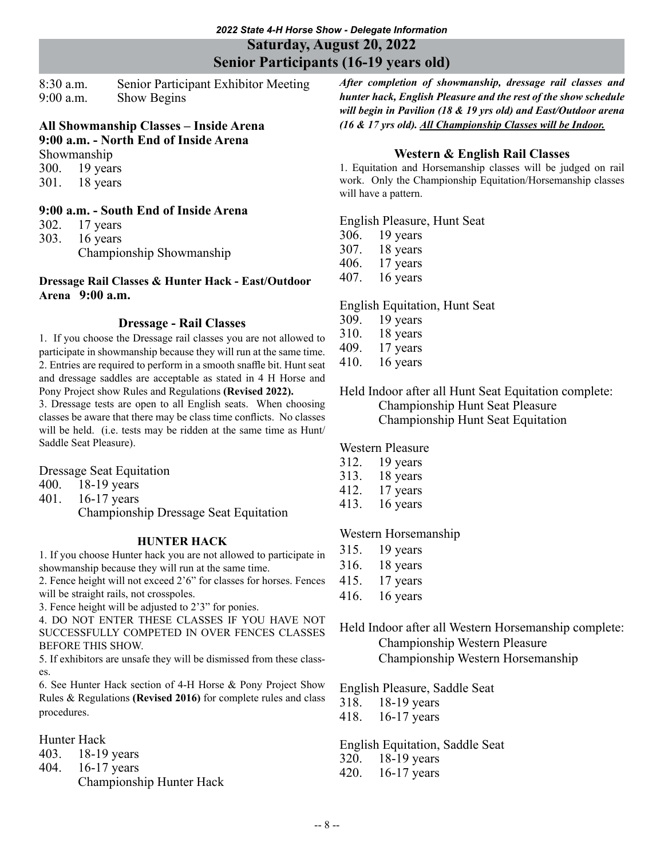**Saturday, August 20, 2022**

**Senior Participants (16-19 years old)**

8:30 a.m. Senior Participant Exhibitor Meeting 9:00 a.m. Show Begins

#### **All Showmanship Classes – Inside Arena 9:00 a.m. - North End of Inside Arena**

Showmanship 300. 19 years

301. 18 years

## **9:00 a.m. - South End of Inside Arena**

302. 17 years

303. 16 years Championship Showmanship

### **Dressage Rail Classes & Hunter Hack - East/Outdoor Arena 9:00 a.m.**

## **Dressage - Rail Classes**

1. If you choose the Dressage rail classes you are not allowed to participate in showmanship because they will run at the same time. 2. Entries are required to perform in a smooth snaffle bit. Hunt seat and dressage saddles are acceptable as stated in 4 H Horse and Pony Project show Rules and Regulations **(Revised 2022).**

3. Dressage tests are open to all English seats. When choosing classes be aware that there may be class time conflicts. No classes will be held. (i.e. tests may be ridden at the same time as Hunt/ Saddle Seat Pleasure).

Dressage Seat Equitation

- 400. 18-19 years
- 401. 16-17 years

Championship Dressage Seat Equitation

## **HUNTER HACK**

1. If you choose Hunter hack you are not allowed to participate in showmanship because they will run at the same time.

2. Fence height will not exceed 2'6" for classes for horses. Fences will be straight rails, not crosspoles.

3. Fence height will be adjusted to 2'3" for ponies.

4. DO NOT ENTER THESE CLASSES IF YOU HAVE NOT SUCCESSFULLY COMPETED IN OVER FENCES CLASSES BEFORE THIS SHOW.

5. If exhibitors are unsafe they will be dismissed from these classes.

6. See Hunter Hack section of 4-H Horse & Pony Project Show Rules & Regulations **(Revised 2016)** for complete rules and class procedures.

Hunter Hack

- 403. 18-19 years
- 404. 16-17 years
	- Championship Hunter Hack

*After completion of showmanship, dressage rail classes and hunter hack, English Pleasure and the rest of the show schedule will begin in Pavilion (18 & 19 yrs old) and East/Outdoor arena (16 & 17 yrs old). All Championship Classes will be Indoor.*

## **Western & English Rail Classes**

1. Equitation and Horsemanship classes will be judged on rail work. Only the Championship Equitation/Horsemanship classes will have a pattern.

English Pleasure, Hunt Seat

- 306. 19 years
- 307. 18 years
- 406. 17 years
- 407. 16 years

English Equitation, Hunt Seat

- 309. 19 years
- 310. 18 years
- 409. 17 years
- 410. 16 years

Held Indoor after all Hunt Seat Equitation complete: Championship Hunt Seat Pleasure Championship Hunt Seat Equitation

Western Pleasure

- 312. 19 years
- 313. 18 years
- 412. 17 years
- 413. 16 years

## Western Horsemanship

- 315. 19 years
- 316. 18 years
- 415. 17 years
- 416. 16 years

Held Indoor after all Western Horsemanship complete: Championship Western Pleasure Championship Western Horsemanship

English Pleasure, Saddle Seat

318. 18-19 years

418. 16-17 years

English Equitation, Saddle Seat 320. 18-19 years

420. 16-17 years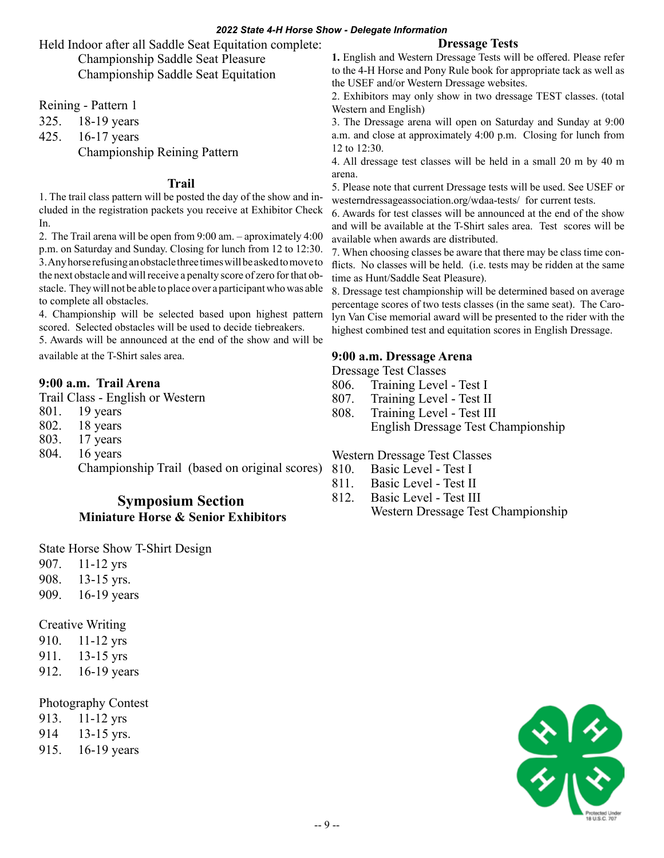#### *2022 State 4-H Horse Show - Delegate Information*

Held Indoor after all Saddle Seat Equitation complete: Championship Saddle Seat Pleasure Championship Saddle Seat Equitation

Reining - Pattern 1

325. 18-19 years

425. 16-17 years

Championship Reining Pattern

### **Trail**

1. The trail class pattern will be posted the day of the show and included in the registration packets you receive at Exhibitor Check In.

2. The Trail arena will be open from 9:00 am. – aproximately 4:00 p.m. on Saturday and Sunday. Closing for lunch from 12 to 12:30. 3. Any horse refusing an obstacle three times will be asked to move to the next obstacle and will receive a penalty score of zero for that obstacle. They will not be able to place over a participant who was able to complete all obstacles.

4. Championship will be selected based upon highest pattern scored. Selected obstacles will be used to decide tiebreakers.

5. Awards will be announced at the end of the show and will be available at the T-Shirt sales area.

### **9:00 a.m. Trail Arena**

Trail Class - English or Western

- 801. 19 years
- 802. 18 years
- 803. 17 years
- 804. 16 years

Championship Trail (based on original scores)

## **Symposium Section Miniature Horse & Senior Exhibitors**

State Horse Show T-Shirt Design

- 907. 11-12 yrs
- 908. 13-15 yrs.
- 909. 16-19 years

Creative Writing

- 910. 11-12 yrs
- 911. 13-15 yrs

912. 16-19 years

#### Photography Contest

- 913. 11-12 yrs
- 914 13-15 yrs.
- 915. 16-19 years

### **Dressage Tests**

**1.** English and Western Dressage Tests will be offered. Please refer to the 4-H Horse and Pony Rule book for appropriate tack as well as the USEF and/or Western Dressage websites.

2. Exhibitors may only show in two dressage TEST classes. (total Western and English)

3. The Dressage arena will open on Saturday and Sunday at 9:00 a.m. and close at approximately 4:00 p.m. Closing for lunch from 12 to 12:30.

4. All dressage test classes will be held in a small 20 m by 40 m arena.

5. Please note that current Dressage tests will be used. See USEF or westerndressageassociation.org/wdaa-tests/ for current tests.

6. Awards for test classes will be announced at the end of the show and will be available at the T-Shirt sales area. Test scores will be available when awards are distributed.

7. When choosing classes be aware that there may be class time conflicts. No classes will be held. (i.e. tests may be ridden at the same time as Hunt/Saddle Seat Pleasure).

8. Dressage test championship will be determined based on average percentage scores of two tests classes (in the same seat). The Carolyn Van Cise memorial award will be presented to the rider with the highest combined test and equitation scores in English Dressage.

### **9:00 a.m. Dressage Arena**

Dressage Test Classes

- 806. Training Level Test I
- 807. Training Level Test II
- 808. Training Level Test III

English Dressage Test Championship

Western Dressage Test Classes

- 810. Basic Level Test I
- 811. Basic Level Test II
- 812. Basic Level Test III Western Dressage Test Championship

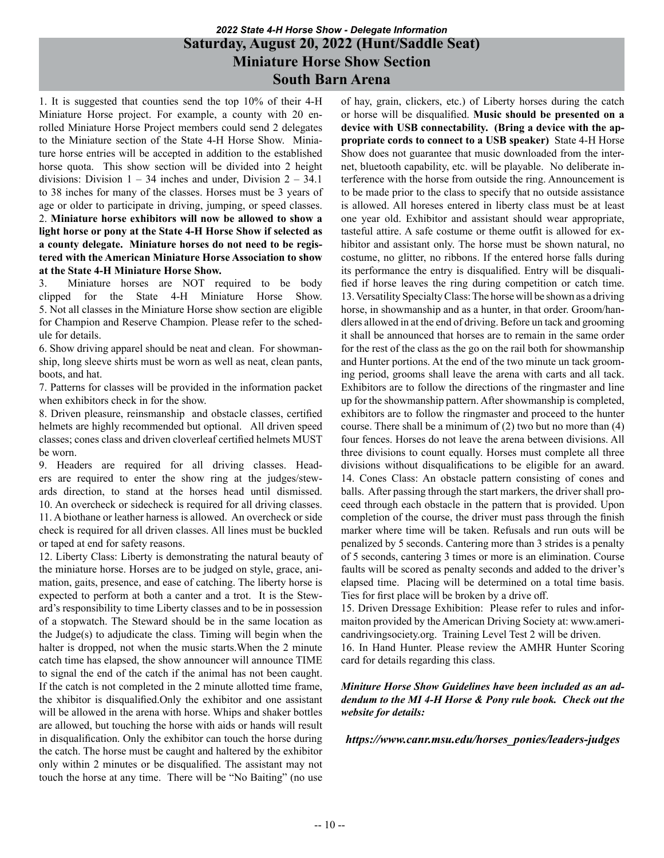## *2022 State 4-H Horse Show - Delegate Information* **Saturday, August 20, 2022 (Hunt/Saddle Seat) Miniature Horse Show Section South Barn Arena**

1. It is suggested that counties send the top 10% of their 4-H Miniature Horse project. For example, a county with 20 enrolled Miniature Horse Project members could send 2 delegates to the Miniature section of the State 4-H Horse Show. Miniature horse entries will be accepted in addition to the established horse quota. This show section will be divided into 2 height divisions: Division  $1 - 34$  inches and under, Division  $2 - 34.1$ to 38 inches for many of the classes. Horses must be 3 years of age or older to participate in driving, jumping, or speed classes. 2. **Miniature horse exhibitors will now be allowed to show a light horse or pony at the State 4-H Horse Show if selected as a county delegate. Miniature horses do not need to be registered with the American Miniature Horse Association to show at the State 4-H Miniature Horse Show.**

3. Miniature horses are NOT required to be body clipped for the State 4-H Miniature Horse Show. 5. Not all classes in the Miniature Horse show section are eligible for Champion and Reserve Champion. Please refer to the schedule for details.

6. Show driving apparel should be neat and clean. For showmanship, long sleeve shirts must be worn as well as neat, clean pants, boots, and hat.

7. Patterns for classes will be provided in the information packet when exhibitors check in for the show.

8. Driven pleasure, reinsmanship and obstacle classes, certified helmets are highly recommended but optional. All driven speed classes; cones class and driven cloverleaf certified helmets MUST be worn.

9. Headers are required for all driving classes. Headers are required to enter the show ring at the judges/stewards direction, to stand at the horses head until dismissed. 10. An overcheck or sidecheck is required for all driving classes. 11. A biothane or leather harness is allowed. An overcheck or side check is required for all driven classes. All lines must be buckled or taped at end for safety reasons.

12. Liberty Class: Liberty is demonstrating the natural beauty of the miniature horse. Horses are to be judged on style, grace, animation, gaits, presence, and ease of catching. The liberty horse is expected to perform at both a canter and a trot. It is the Steward's responsibility to time Liberty classes and to be in possession of a stopwatch. The Steward should be in the same location as the Judge(s) to adjudicate the class. Timing will begin when the halter is dropped, not when the music starts. When the 2 minute catch time has elapsed, the show announcer will announce TIME to signal the end of the catch if the animal has not been caught. If the catch is not completed in the 2 minute allotted time frame, the xhibitor is disqualified.Only the exhibitor and one assistant will be allowed in the arena with horse. Whips and shaker bottles are allowed, but touching the horse with aids or hands will result in disqualification. Only the exhibitor can touch the horse during the catch. The horse must be caught and haltered by the exhibitor only within 2 minutes or be disqualified. The assistant may not touch the horse at any time. There will be "No Baiting" (no use

of hay, grain, clickers, etc.) of Liberty horses during the catch or horse will be disqualified. **Music should be presented on a device with USB connectability. (Bring a device with the appropriate cords to connect to a USB speaker)** State 4-H Horse Show does not guarantee that music downloaded from the internet, bluetooth capability, etc. will be playable. No deliberate interference with the horse from outside the ring. Announcement is to be made prior to the class to specify that no outside assistance is allowed. All horeses entered in liberty class must be at least one year old. Exhibitor and assistant should wear appropriate, tasteful attire. A safe costume or theme outfit is allowed for exhibitor and assistant only. The horse must be shown natural, no costume, no glitter, no ribbons. If the entered horse falls during its performance the entry is disqualified. Entry will be disqualified if horse leaves the ring during competition or catch time. 13. Versatility Specialty Class: The horse will be shown as a driving horse, in showmanship and as a hunter, in that order. Groom/handlers allowed in at the end of driving. Before un tack and grooming it shall be announced that horses are to remain in the same order for the rest of the class as the go on the rail both for showmanship and Hunter portions. At the end of the two minute un tack grooming period, grooms shall leave the arena with carts and all tack. Exhibitors are to follow the directions of the ringmaster and line up for the showmanship pattern. After showmanship is completed, exhibitors are to follow the ringmaster and proceed to the hunter course. There shall be a minimum of  $(2)$  two but no more than  $(4)$ four fences. Horses do not leave the arena between divisions. All three divisions to count equally. Horses must complete all three divisions without disqualifications to be eligible for an award. 14. Cones Class: An obstacle pattern consisting of cones and balls. After passing through the start markers, the driver shall proceed through each obstacle in the pattern that is provided. Upon completion of the course, the driver must pass through the finish marker where time will be taken. Refusals and run outs will be penalized by 5 seconds. Cantering more than 3 strides is a penalty of 5 seconds, cantering 3 times or more is an elimination. Course faults will be scored as penalty seconds and added to the driver's elapsed time. Placing will be determined on a total time basis. Ties for first place will be broken by a drive off.

15. Driven Dressage Exhibition: Please refer to rules and informaiton provided by the American Driving Society at: www.americandrivingsociety.org. Training Level Test 2 will be driven. 16. In Hand Hunter. Please review the AMHR Hunter Scoring card for details regarding this class.

#### *Miniture Horse Show Guidelines have been included as an addendum to the MI 4-H Horse & Pony rule book. Check out the website for details:*

#### *https://www.canr.msu.edu/horses\_ponies/leaders-judges*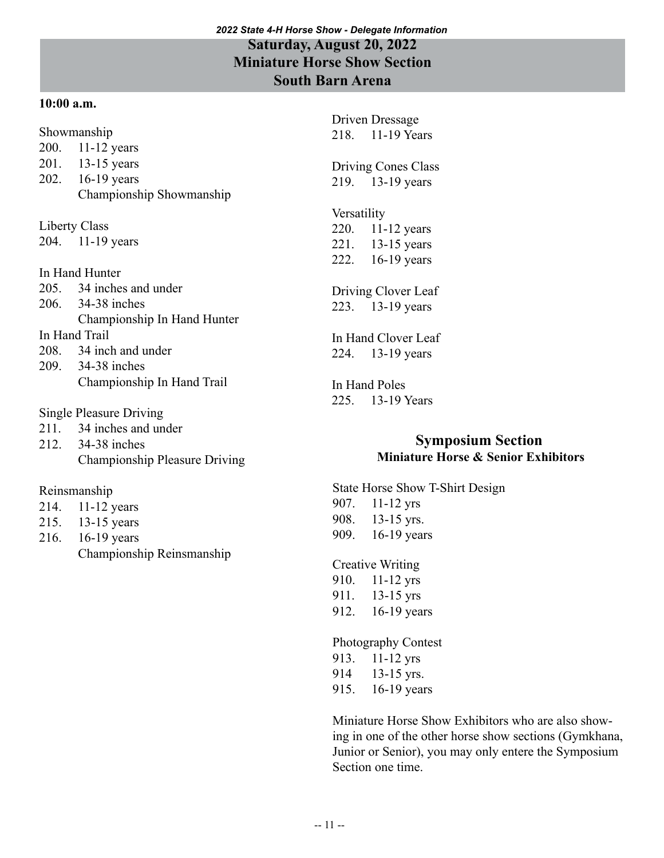## *2022 State 4-H Horse Show - Delegate Information* **Saturday, August 20, 2022 Miniature Horse Show Section South Barn Arena**

## **10:00 a.m.**

Showmanship

- 200. 11-12 years
- 201. 13-15 years
- 202. 16-19 years
- Championship Showmanship

Liberty Class

204. 11-19 years

In Hand Hunter

- 205. 34 inches and under
- 206. 34-38 inches
- Championship In Hand Hunter

## In Hand Trail

- 208. 34 inch and under
- 209. 34-38 inches Championship In Hand Trail
- Single Pleasure Driving
- 211. 34 inches and under
- 212. 34-38 inches Championship Pleasure Driving

## Reinsmanship

- 214. 11-12 years
- 215. 13-15 years
- 216. 16-19 years Championship Reinsmanship

Driven Dressage 218. 11-19 Years

Driving Cones Class 219. 13-19 years

# Versatility

220. 11-12 years 221. 13-15 years 222. 16-19 years

Driving Clover Leaf 223. 13-19 years

In Hand Clover Leaf 224. 13-19 years

In Hand Poles 225. 13-19 Years

# **Symposium Section Miniature Horse & Senior Exhibitors**

State Horse Show T-Shirt Design 907. 11-12 yrs 908. 13-15 yrs. 909. 16-19 years

Creative Writing 910. 11-12 yrs 911. 13-15 yrs 912. 16-19 years

Photography Contest

- 913. 11-12 yrs
- 914 13-15 yrs.
- 915. 16-19 years

Miniature Horse Show Exhibitors who are also showing in one of the other horse show sections (Gymkhana, Junior or Senior), you may only entere the Symposium Section one time.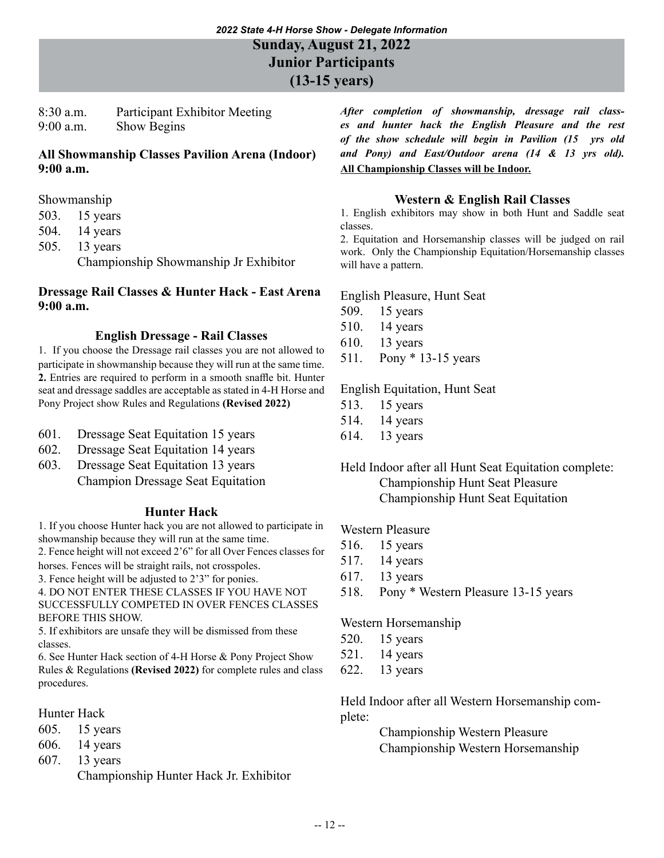**Junior Participants**

**(13-15 years)**

8:30 a.m. Participant Exhibitor Meeting 9:00 a.m. Show Begins

## **All Showmanship Classes Pavilion Arena (Indoor) 9:00 a.m.**

- Showmanship
- 503. 15 years
- 504. 14 years
- 505. 13 years Championship Showmanship Jr Exhibitor

### **Dressage Rail Classes & Hunter Hack - East Arena 9:00 a.m.**

## **English Dressage - Rail Classes**

1. If you choose the Dressage rail classes you are not allowed to participate in showmanship because they will run at the same time. **2.** Entries are required to perform in a smooth snaffle bit. Hunter seat and dressage saddles are acceptable as stated in 4-H Horse and Pony Project show Rules and Regulations **(Revised 2022)**

- 601. Dressage Seat Equitation 15 years
- 602. Dressage Seat Equitation 14 years
- 603. Dressage Seat Equitation 13 years
- Champion Dressage Seat Equitation

## **Hunter Hack**

1. If you choose Hunter hack you are not allowed to participate in showmanship because they will run at the same time.

2. Fence height will not exceed 2'6" for all Over Fences classes for horses. Fences will be straight rails, not crosspoles.

3. Fence height will be adjusted to 2'3" for ponies.

4. DO NOT ENTER THESE CLASSES IF YOU HAVE NOT SUCCESSFULLY COMPETED IN OVER FENCES CLASSES BEFORE THIS SHOW.

5. If exhibitors are unsafe they will be dismissed from these classes.

6. See Hunter Hack section of 4-H Horse & Pony Project Show Rules & Regulations **(Revised 2022)** for complete rules and class procedures.

## Hunter Hack

- 605. 15 years
- 606. 14 years
- 607. 13 years

Championship Hunter Hack Jr. Exhibitor

*After completion of showmanship, dressage rail classes and hunter hack the English Pleasure and the rest of the show schedule will begin in Pavilion (15 yrs old and Pony) and East/Outdoor arena (14 & 13 yrs old).*  **All Championship Classes will be Indoor.**

## **Western & English Rail Classes**

1. English exhibitors may show in both Hunt and Saddle seat classes.

2. Equitation and Horsemanship classes will be judged on rail work. Only the Championship Equitation/Horsemanship classes will have a pattern.

English Pleasure, Hunt Seat

- 509. 15 years
- 510. 14 years
- 610. 13 years
- 511. Pony \* 13-15 years

English Equitation, Hunt Seat

- 513. 15 years
- 514. 14 years
- 614. 13 years

Held Indoor after all Hunt Seat Equitation complete: Championship Hunt Seat Pleasure Championship Hunt Seat Equitation

## Western Pleasure

- 516. 15 years
- 517. 14 years
- 617. 13 years
- 518. Pony \* Western Pleasure 13-15 years

Western Horsemanship

- 520. 15 years
- 521. 14 years
- 622. 13 years

Held Indoor after all Western Horsemanship complete:

> Championship Western Pleasure Championship Western Horsemanship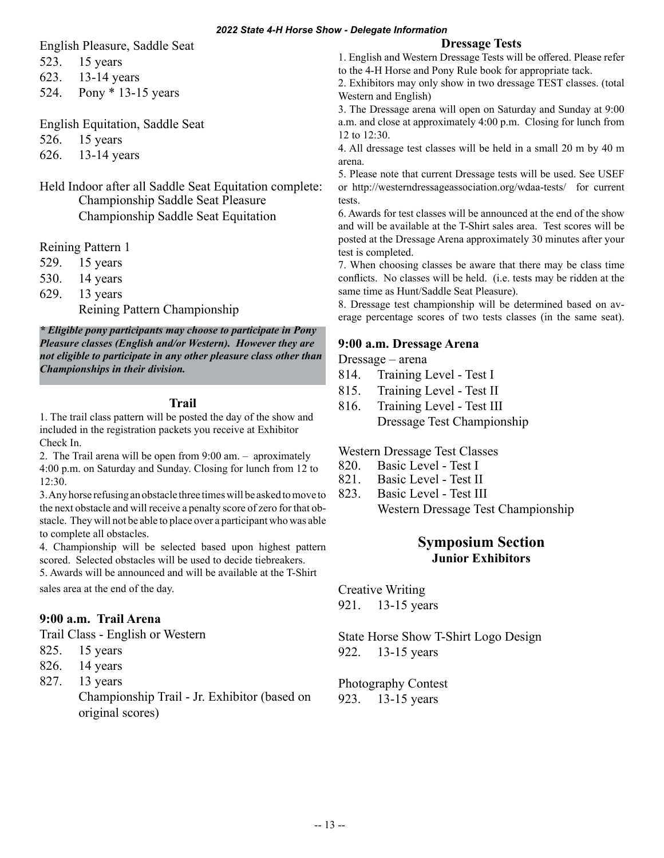English Pleasure, Saddle Seat

523. 15 years

623. 13-14 years

524. Pony \* 13-15 years

English Equitation, Saddle Seat

526. 15 years

626. 13-14 years

Held Indoor after all Saddle Seat Equitation complete: Championship Saddle Seat Pleasure Championship Saddle Seat Equitation

Reining Pattern 1

529. 15 years

530. 14 years

629. 13 years

Reining Pattern Championship

*\* Eligible pony participants may choose to participate in Pony Pleasure classes (English and/or Western). However they are not eligible to participate in any other pleasure class other than Championships in their division.*

## **Trail**

1. The trail class pattern will be posted the day of the show and included in the registration packets you receive at Exhibitor Check In.

2. The Trail arena will be open from 9:00 am. – aproximately 4:00 p.m. on Saturday and Sunday. Closing for lunch from 12 to 12:30.

3. Any horse refusing an obstacle three times will be asked to move to the next obstacle and will receive a penalty score of zero for that obstacle. They will not be able to place over a participant who was able to complete all obstacles.

4. Championship will be selected based upon highest pattern scored. Selected obstacles will be used to decide tiebreakers.

5. Awards will be announced and will be available at the T-Shirt sales area at the end of the day.

## **9:00 a.m. Trail Arena**

Trail Class - English or Western

- 825. 15 years
- 826. 14 years
- 827. 13 years

Championship Trail - Jr. Exhibitor (based on original scores)

### **Dressage Tests**

1. English and Western Dressage Tests will be offered. Please refer to the 4-H Horse and Pony Rule book for appropriate tack.

2. Exhibitors may only show in two dressage TEST classes. (total Western and English)

3. The Dressage arena will open on Saturday and Sunday at 9:00 a.m. and close at approximately 4:00 p.m. Closing for lunch from 12 to 12:30.

4. All dressage test classes will be held in a small 20 m by 40 m arena.

5. Please note that current Dressage tests will be used. See USEF or http://westerndressageassociation.org/wdaa-tests/ for current tests.

6. Awards for test classes will be announced at the end of the show and will be available at the T-Shirt sales area. Test scores will be posted at the Dressage Arena approximately 30 minutes after your test is completed.

7. When choosing classes be aware that there may be class time conflicts. No classes will be held. (i.e. tests may be ridden at the same time as Hunt/Saddle Seat Pleasure).

8. Dressage test championship will be determined based on average percentage scores of two tests classes (in the same seat).

## **9:00 a.m. Dressage Arena**

Dressage – arena

- 814. Training Level Test I
- 815. Training Level Test II
- 816. Training Level Test III Dressage Test Championship

Western Dressage Test Classes

- 820. Basic Level Test I
- 821. Basic Level Test II
- 823. Basic Level Test III
	- Western Dressage Test Championship

## **Symposium Section Junior Exhibitors**

Creative Writing 921. 13-15 years

State Horse Show T-Shirt Logo Design 922. 13-15 years

Photography Contest 923. 13-15 years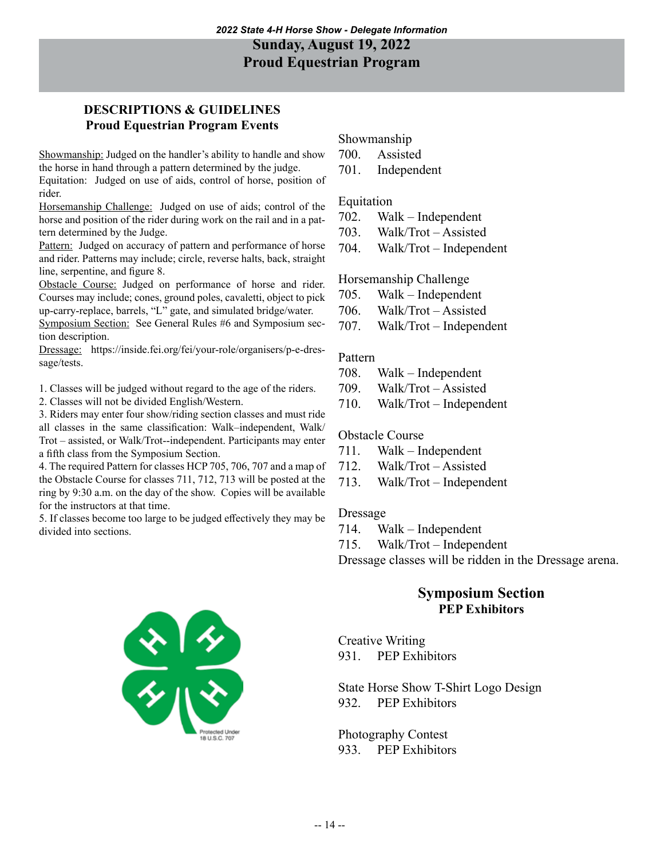## **DESCRIPTIONS & GUIDELINES Proud Equestrian Program Events**

Showmanship: Judged on the handler's ability to handle and show the horse in hand through a pattern determined by the judge.

Equitation: Judged on use of aids, control of horse, position of rider.

Horsemanship Challenge: Judged on use of aids; control of the horse and position of the rider during work on the rail and in a pattern determined by the Judge.

Pattern: Judged on accuracy of pattern and performance of horse and rider. Patterns may include; circle, reverse halts, back, straight line, serpentine, and figure 8.

Obstacle Course: Judged on performance of horse and rider. Courses may include; cones, ground poles, cavaletti, object to pick up-carry-replace, barrels, "L" gate, and simulated bridge/water.

Symposium Section: See General Rules #6 and Symposium section description.

Dressage: https://inside.fei.org/fei/your-role/organisers/p-e-dressage/tests.

1. Classes will be judged without regard to the age of the riders.

2. Classes will not be divided English/Western.

3. Riders may enter four show/riding section classes and must ride all classes in the same classification: Walk–independent, Walk/ Trot – assisted, or Walk/Trot--independent. Participants may enter a fifth class from the Symposium Section.

4. The required Pattern for classes HCP 705, 706, 707 and a map of the Obstacle Course for classes 711, 712, 713 will be posted at the ring by 9:30 a.m. on the day of the show. Copies will be available for the instructors at that time.

5. If classes become too large to be judged effectively they may be divided into sections.

### Showmanship

- 700. Assisted
- 701. Independent

### Equitation

- 702. Walk Independent
- 703. Walk/Trot Assisted
- 704. Walk/Trot Independent

#### Horsemanship Challenge

- 705. Walk Independent
- 706. Walk/Trot Assisted
- 707. Walk/Trot Independent

#### Pattern

- 708. Walk Independent
- 709. Walk/Trot Assisted
- 710. Walk/Trot Independent

#### Obstacle Course

- 711. Walk Independent
- 712. Walk/Trot Assisted
- 713. Walk/Trot Independent

#### Dressage

- 714. Walk Independent
- 715. Walk/Trot Independent

Dressage classes will be ridden in the Dressage arena.

## **Symposium Section PEP Exhibitors**

Creative Writing 931. PEP Exhibitors

## State Horse Show T-Shirt Logo Design 932. PEP Exhibitors

Photography Contest 933. PEP Exhibitors